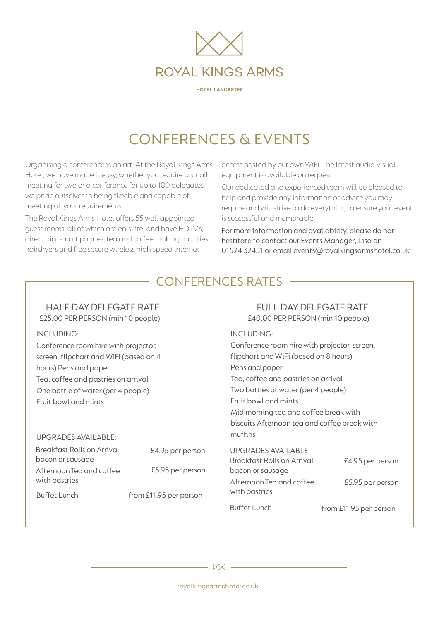

HOTEL LANCASTER

# CONFERENCES & EVENTS

Organising a conference is an art. At the Royal Kings Arms Hotel, we have made it easy, whether you require a small meeting for two or a conference for up to 100 delegates, we pride outselves in being flexible and capable of meeting all your requirements.

The Royal Kings Arms Hotel offers 55 well-appointed guest rooms, all of which are en-suite, and have HDTV's, direct dial smart phones, tea and coffee making facilities, hairdryers and free secure wireless high-speed internet

access hosted by our own WiFi.The latest audio-visual equipment is available on request.

Our dedicated and experienced team will be pleased to help and provide any information or advice you may require and will strive to do everything to ensure your event is successful and memorable.

For more information and availability, please do not hestitate to contact our Events Manager, Lisa on 01524 32451 or email events@royalkingsarmshotel.co.uk

## CONFERENCES RATES

### HALF DAY DELEGATE RATE

£25.00 PER PERSON (min 10 people)

INCLUDING:

Conference room hire with projector, screen, flipchart and WIFI (based on 4 hours) Pens and paper Tea, coffee and pastries on arrival One bottle of water (per 4 people) Fruit bowl and mints

### UPGRADES AVAILABLE:

£4.95 per person £5.95 per person Breakfast Rolls on Arrival bacon or sausage Afternoon Tea and coffee with pastries

# Buffet Lunch from £11.95 per person

### FULL DAY DELEGATE RATE

£40.00 PER PERSON (min 10 people)

INCLUDING: Conference room hire with projector, screen, flipchart andWiFi (based on 8 hours) Pens and paper Tea, coffee and pastries on arrival Two bottles of water (per 4 people) Fruit bowl and mints Mid morning tea and coffee break with biscuits Afternoon tea and coffee break with muffins UPGRADES AVAILABLE: Breakfast Rolls on Arrival

| <b>Breakfast Rolls on Arrival</b>         | £4.95 per person       |
|-------------------------------------------|------------------------|
| bacon or sausage                          |                        |
| Afternoon Tea and coffee<br>with pastries | £5.95 per person       |
| <b>Buffet Lunch</b>                       | from £11.95 per person |

 $XX$  -